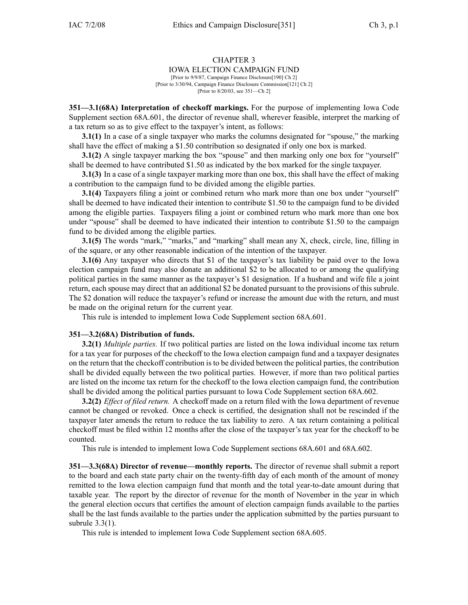## CHAPTER 3

## IOWA ELECTION CAMPAIGN FUND

[Prior to 9/9/87, Campaign Finance Disclosure[190] Ch 2] [Prior to 3/30/94, Campaign Finance Disclosure Commission[121] Ch 2] [Prior to 8/20/03, see 351—Ch 2]

**351—3.1(68A) Interpretation of checkoff markings.** For the purpose of implementing Iowa Code Supplement section 68A.601, the director of revenue shall, wherever feasible, interpret the marking of <sup>a</sup> tax return so as to give effect to the taxpayer's intent, as follows:

**3.1(1)** In <sup>a</sup> case of <sup>a</sup> single taxpayer who marks the columns designated for "spouse," the marking shall have the effect of making <sup>a</sup> \$1.50 contribution so designated if only one box is marked.

**3.1(2)** A single taxpayer marking the box "spouse" and then marking only one box for "yourself" shall be deemed to have contributed \$1.50 as indicated by the box marked for the single taxpayer.

**3.1(3)** In <sup>a</sup> case of <sup>a</sup> single taxpayer marking more than one box, this shall have the effect of making <sup>a</sup> contribution to the campaign fund to be divided among the eligible parties.

**3.1(4)** Taxpayers filing <sup>a</sup> joint or combined return who mark more than one box under "yourself" shall be deemed to have indicated their intention to contribute \$1.50 to the campaign fund to be divided among the eligible parties. Taxpayers filing <sup>a</sup> joint or combined return who mark more than one box under "spouse" shall be deemed to have indicated their intention to contribute \$1.50 to the campaign fund to be divided among the eligible parties.

**3.1(5)** The words "mark," "marks," and "marking" shall mean any X, check, circle, line, filling in of the square, or any other reasonable indication of the intention of the taxpayer.

**3.1(6)** Any taxpayer who directs that \$1 of the taxpayer's tax liability be paid over to the Iowa election campaign fund may also donate an additional \$2 to be allocated to or among the qualifying political parties in the same manner as the taxpayer's \$1 designation. If <sup>a</sup> husband and wife file <sup>a</sup> joint return, each spouse may direct that an additional \$2 be donated pursuan<sup>t</sup> to the provisions of this subrule. The \$2 donation will reduce the taxpayer's refund or increase the amount due with the return, and must be made on the original return for the current year.

This rule is intended to implement Iowa Code Supplement section 68A.601.

## **351—3.2(68A) Distribution of funds.**

**3.2(1)** *Multiple parties.* If two political parties are listed on the Iowa individual income tax return for <sup>a</sup> tax year for purposes of the checkoff to the Iowa election campaign fund and <sup>a</sup> taxpayer designates on the return that the checkoff contribution is to be divided between the political parties, the contribution shall be divided equally between the two political parties. However, if more than two political parties are listed on the income tax return for the checkoff to the Iowa election campaign fund, the contribution shall be divided among the political parties pursuan<sup>t</sup> to Iowa Code Supplement section 68A.602.

**3.2(2)** *Effect of filed return.* A checkoff made on <sup>a</sup> return filed with the Iowa department of revenue cannot be changed or revoked. Once <sup>a</sup> check is certified, the designation shall not be rescinded if the taxpayer later amends the return to reduce the tax liability to zero. A tax return containing <sup>a</sup> political checkoff must be filed within 12 months after the close of the taxpayer's tax year for the checkoff to be counted.

This rule is intended to implement Iowa Code Supplement sections 68A.601 and 68A.602.

**351—3.3(68A) Director of revenue—monthly reports.** The director of revenue shall submit <sup>a</sup> repor<sup>t</sup> to the board and each state party chair on the twenty-fifth day of each month of the amount of money remitted to the Iowa election campaign fund that month and the total year-to-date amount during that taxable year. The repor<sup>t</sup> by the director of revenue for the month of November in the year in which the general election occurs that certifies the amount of election campaign funds available to the parties shall be the last funds available to the parties under the application submitted by the parties pursuan<sup>t</sup> to subrule 3.3(1).

This rule is intended to implement Iowa Code Supplement section 68A.605.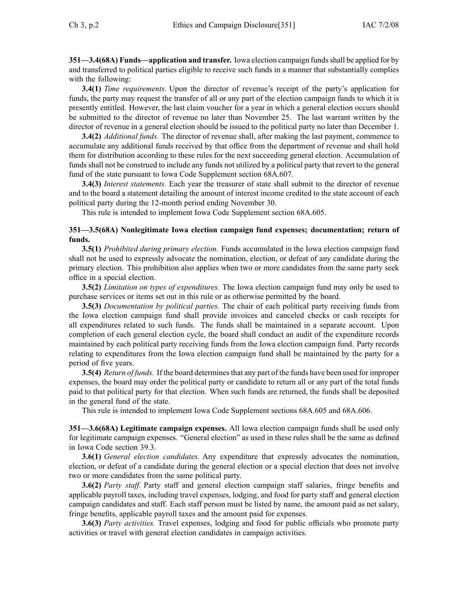**351—3.4(68A) Funds—application and transfer.** Iowa election campaign fundsshall be applied for by and transferred to political parties eligible to receive such funds in <sup>a</sup> manner that substantially complies with the following:

**3.4(1)** *Time requirements.* Upon the director of revenue's receipt of the party's application for funds, the party may reques<sup>t</sup> the transfer of all or any par<sup>t</sup> of the election campaign funds to which it is presently entitled. However, the last claim voucher for <sup>a</sup> year in which <sup>a</sup> general election occurs should be submitted to the director of revenue no later than November 25. The last warrant written by the director of revenue in <sup>a</sup> general election should be issued to the political party no later than December 1.

**3.4(2)** *Additional funds.* The director of revenue shall, after making the last payment, commence to accumulate any additional funds received by that office from the department of revenue and shall hold them for distribution according to these rules for the next succeeding general election. Accumulation of funds shall not be construed to include any funds not utilized by <sup>a</sup> political party that revert to the general fund of the state pursuan<sup>t</sup> to Iowa Code Supplement section 68A.607.

**3.4(3)** *Interest statements.* Each year the treasurer of state shall submit to the director of revenue and to the board <sup>a</sup> statement detailing the amount of interest income credited to the state account of each political party during the 12-month period ending November 30.

This rule is intended to implement Iowa Code Supplement section 68A.605.

## **351—3.5(68A) Nonlegitimate Iowa election campaign fund expenses; documentation; return of funds.**

**3.5(1)** *Prohibited during primary election.* Funds accumulated in the Iowa election campaign fund shall not be used to expressly advocate the nomination, election, or defeat of any candidate during the primary election. This prohibition also applies when two or more candidates from the same party seek office in <sup>a</sup> special election.

**3.5(2)** *Limitation on types of expenditures.* The Iowa election campaign fund may only be used to purchase services or items set out in this rule or as otherwise permitted by the board.

**3.5(3)** *Documentation by political parties.* The chair of each political party receiving funds from the Iowa election campaign fund shall provide invoices and canceled checks or cash receipts for all expenditures related to such funds. The funds shall be maintained in <sup>a</sup> separate account. Upon completion of each general election cycle, the board shall conduct an audit of the expenditure records maintained by each political party receiving funds from the Iowa election campaign fund. Party records relating to expenditures from the Iowa election campaign fund shall be maintained by the party for <sup>a</sup> period of five years.

**3.5(4)** *Return of funds.* If the board determines that any part of the funds have been used for improper expenses, the board may order the political party or candidate to return all or any par<sup>t</sup> of the total funds paid to that political party for that election. When such funds are returned, the funds shall be deposited in the general fund of the state.

This rule is intended to implement Iowa Code Supplement sections 68A.605 and 68A.606.

**351—3.6(68A) Legitimate campaign expenses.** All Iowa election campaign funds shall be used only for legitimate campaign expenses. "General election" as used in these rules shall be the same as defined in Iowa Code section 39.3.

**3.6(1)** *General election candidates.* Any expenditure that expressly advocates the nomination, election, or defeat of <sup>a</sup> candidate during the general election or <sup>a</sup> special election that does not involve two or more candidates from the same political party.

**3.6(2)** *Party staff.* Party staff and general election campaign staff salaries, fringe benefits and applicable payroll taxes, including travel expenses, lodging, and food for party staff and general election campaign candidates and staff. Each staff person must be listed by name, the amount paid as net salary, fringe benefits, applicable payroll taxes and the amount paid for expenses.

**3.6(3)** *Party activities.* Travel expenses, lodging and food for public officials who promote party activities or travel with general election candidates in campaign activities.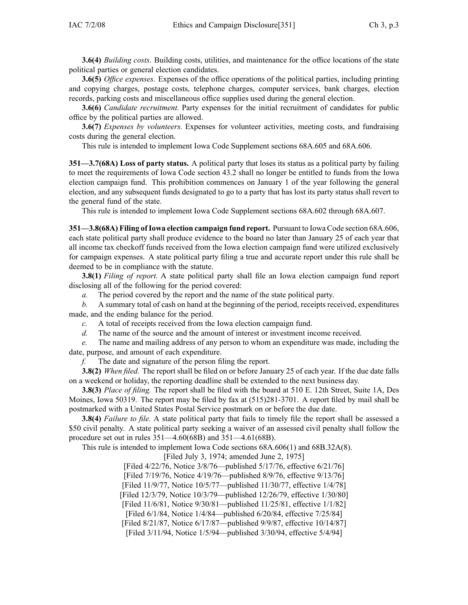**3.6(4)** *Building costs.* Building costs, utilities, and maintenance for the office locations of the state political parties or general election candidates.

**3.6(5)** *Office expenses.* Expenses of the office operations of the political parties, including printing and copying charges, postage costs, telephone charges, computer services, bank charges, election records, parking costs and miscellaneous office supplies used during the general election.

**3.6(6)** *Candidate recruitment.* Party expenses for the initial recruitment of candidates for public office by the political parties are allowed.

**3.6(7)** *Expenses by volunteers.* Expenses for volunteer activities, meeting costs, and fundraising costs during the general election.

This rule is intended to implement Iowa Code Supplement sections 68A.605 and 68A.606.

**351—3.7(68A) Loss of party status.** A political party that loses its status as <sup>a</sup> political party by failing to meet the requirements of Iowa Code section 43.2 shall no longer be entitled to funds from the Iowa election campaign fund. This prohibition commences on January 1 of the year following the general election, and any subsequent funds designated to go to <sup>a</sup> party that has lost its party status shall revert to the general fund of the state.

This rule is intended to implement Iowa Code Supplement sections 68A.602 through 68A.607.

**351—3.8(68A) Filing ofIowa election campaign fund report.** Pursuant to Iowa Code section 68A.606, each state political party shall produce evidence to the board no later than January 25 of each year that all income tax checkoff funds received from the Iowa election campaign fund were utilized exclusively for campaign expenses. A state political party filing <sup>a</sup> true and accurate repor<sup>t</sup> under this rule shall be deemed to be in compliance with the statute.

**3.8(1)** *Filing of report.* A state political party shall file an Iowa election campaign fund repor<sup>t</sup> disclosing all of the following for the period covered:

*a.* The period covered by the repor<sup>t</sup> and the name of the state political party.

*b.* A summary total of cash on hand at the beginning of the period, receipts received, expenditures made, and the ending balance for the period.

- *c.* A total of receipts received from the Iowa election campaign fund.
- *d.* The name of the source and the amount of interest or investment income received.

*e.* The name and mailing address of any person to whom an expenditure was made, including the date, purpose, and amount of each expenditure.

*f.* The date and signature of the person filing the report.

**3.8(2)** *When filed.* The repor<sup>t</sup> shall be filed on or before January 25 of each year. If the due date falls on <sup>a</sup> weekend or holiday, the reporting deadline shall be extended to the next business day.

**3.8(3)** *Place of filing.* The repor<sup>t</sup> shall be filed with the board at 510 E. 12th Street, Suite 1A, Des Moines, Iowa 50319. The repor<sup>t</sup> may be filed by fax at (515)281-3701. A repor<sup>t</sup> filed by mail shall be postmarked with <sup>a</sup> United States Postal Service postmark on or before the due date.

**3.8(4)** *Failure to file.* A state political party that fails to timely file the repor<sup>t</sup> shall be assessed <sup>a</sup> \$50 civil penalty. A state political party seeking <sup>a</sup> waiver of an assessed civil penalty shall follow the procedure set out in rules 351—4.60(68B) and 351—4.61(68B).

This rule is intended to implement Iowa Code sections 68A.606(1) and 68B.32A(8).

[Filed July 3, 1974; amended June 2, 1975]

[Filed 4/22/76, Notice 3/8/76—published 5/17/76, effective 6/21/76]

[Filed 7/19/76, Notice 4/19/76—published 8/9/76, effective 9/13/76]

[Filed 11/9/77, Notice 10/5/77—published 11/30/77, effective 1/4/78]

[Filed 12/3/79, Notice 10/3/79—published 12/26/79, effective 1/30/80]

[Filed 11/6/81, Notice 9/30/81—published 11/25/81, effective 1/1/82]

[Filed 6/1/84, Notice 1/4/84—published 6/20/84, effective 7/25/84]

[Filed 8/21/87, Notice 6/17/87—published 9/9/87, effective 10/14/87]

[Filed 3/11/94, Notice 1/5/94—published 3/30/94, effective 5/4/94]